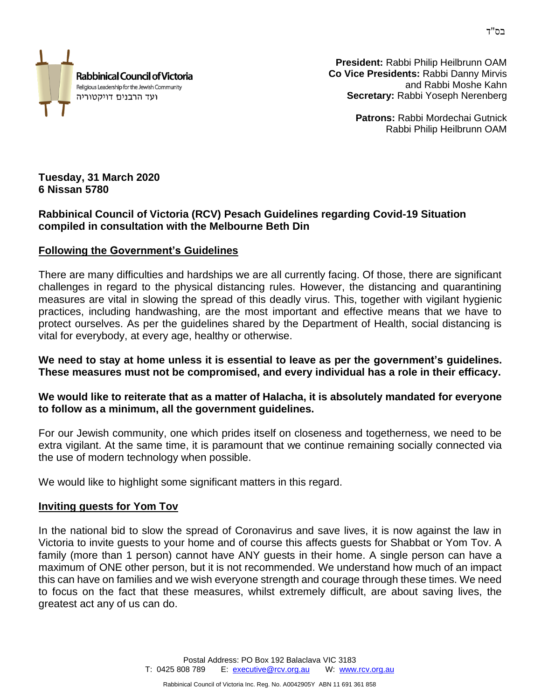

**President:** Rabbi Philip Heilbrunn OAM **Co Vice Presidents:** Rabbi Danny Mirvis and Rabbi Moshe Kahn **Secretary:** Rabbi Yoseph Nerenberg

> **Patrons:** Rabbi Mordechai Gutnick Rabbi Philip Heilbrunn OAM

### **Tuesday, 31 March 2020 6 Nissan 5780**

### **Rabbinical Council of Victoria (RCV) Pesach Guidelines regarding Covid-19 Situation compiled in consultation with the Melbourne Beth Din**

### **Following the Government's Guidelines**

There are many difficulties and hardships we are all currently facing. Of those, there are significant challenges in regard to the physical distancing rules. However, the distancing and quarantining measures are vital in slowing the spread of this deadly virus. This, together with vigilant hygienic practices, including handwashing, are the most important and effective means that we have to protect ourselves. As per the guidelines shared by the Department of Health, social distancing is vital for everybody, at every age, healthy or otherwise.

#### **We need to stay at home unless it is essential to leave as per the government's guidelines. These measures must not be compromised, and every individual has a role in their efficacy.**

### **We would like to reiterate that as a matter of Halacha, it is absolutely mandated for everyone to follow as a minimum, all the government guidelines.**

For our Jewish community, one which prides itself on closeness and togetherness, we need to be extra vigilant. At the same time, it is paramount that we continue remaining socially connected via the use of modern technology when possible.

We would like to highlight some significant matters in this regard.

### **Inviting guests for Yom Tov**

In the national bid to slow the spread of Coronavirus and save lives, it is now against the law in Victoria to invite guests to your home and of course this affects guests for Shabbat or Yom Tov. A family (more than 1 person) cannot have ANY guests in their home. A single person can have a maximum of ONE other person, but it is not recommended. We understand how much of an impact this can have on families and we wish everyone strength and courage through these times. We need to focus on the fact that these measures, whilst extremely difficult, are about saving lives, the greatest act any of us can do.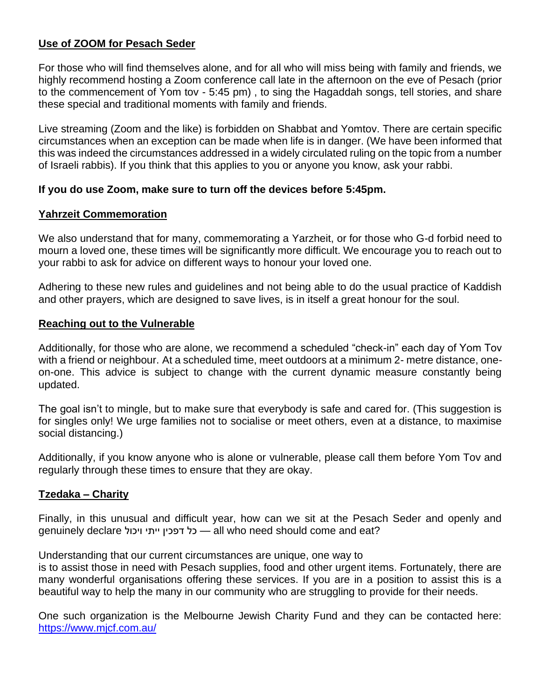# **Use of ZOOM for Pesach Seder**

For those who will find themselves alone, and for all who will miss being with family and friends, we highly recommend hosting a Zoom conference call late in the afternoon on the eve of Pesach (prior to the commencement of Yom tov - 5:45 pm) , to sing the Hagaddah songs, tell stories, and share these special and traditional moments with family and friends.

Live streaming (Zoom and the like) is forbidden on Shabbat and Yomtov. There are certain specific circumstances when an exception can be made when life is in danger. (We have been informed that this was indeed the circumstances addressed in a widely circulated ruling on the topic from a number of Israeli rabbis). If you think that this applies to you or anyone you know, ask your rabbi.

## **If you do use Zoom, make sure to turn off the devices before 5:45pm.**

### **Yahrzeit Commemoration**

We also understand that for many, commemorating a Yarzheit, or for those who G-d forbid need to mourn a loved one, these times will be significantly more difficult. We encourage you to reach out to your rabbi to ask for advice on different ways to honour your loved one.

Adhering to these new rules and guidelines and not being able to do the usual practice of Kaddish and other prayers, which are designed to save lives, is in itself a great honour for the soul.

### **Reaching out to the Vulnerable**

Additionally, for those who are alone, we recommend a scheduled "check-in" each day of Yom Tov with a friend or neighbour. At a scheduled time, meet outdoors at a minimum 2- metre distance, oneon-one. This advice is subject to change with the current dynamic measure constantly being updated.

The goal isn't to mingle, but to make sure that everybody is safe and cared for. (This suggestion is for singles only! We urge families not to socialise or meet others, even at a distance, to maximise social distancing.)

Additionally, if you know anyone who is alone or vulnerable, please call them before Yom Tov and regularly through these times to ensure that they are okay.

### **Tzedaka – Charity**

Finally, in this unusual and difficult year, how can we sit at the Pesach Seder and openly and genuinely declare ויכול ייתי דפכין כל — all who need should come and eat?

Understanding that our current circumstances are unique, one way to

is to assist those in need with Pesach supplies, food and other urgent items. Fortunately, there are many wonderful organisations offering these services. If you are in a position to assist this is a beautiful way to help the many in our community who are struggling to provide for their needs.

One such organization is the Melbourne Jewish Charity Fund and they can be contacted here: <https://www.mjcf.com.au/>